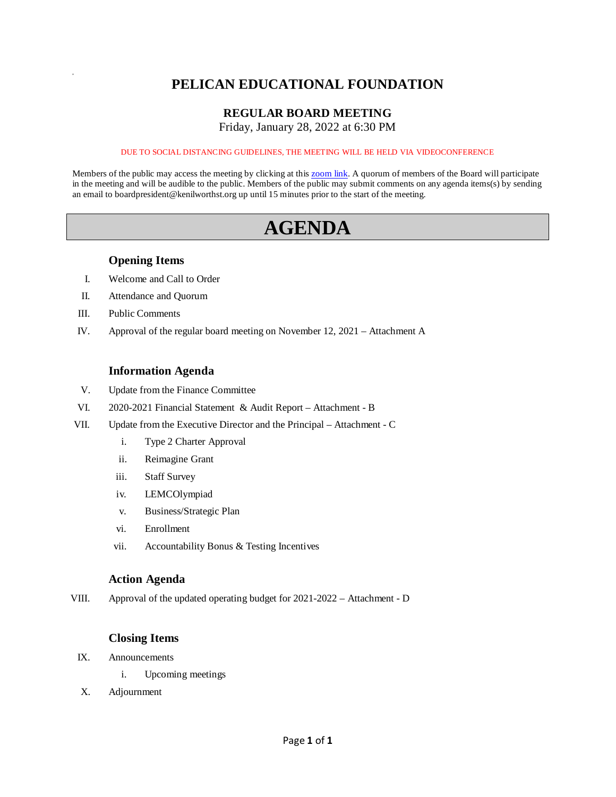# **PELICAN EDUCATIONAL FOUNDATION**

### **REGULAR BOARD MEETING**

Friday, January 28, 2022 at 6:30 PM

#### DUE TO SOCIAL DISTANCING GUIDELINES, THE MEETING WILL BE HELD VIA VIDEOCONFERENCE

Members of the public may access the meeting by clicking at this [zoom link.](https://kenilworthst-org.zoom.us/j/84452784209?pwd=UzhaOThDOTlBWitROFNxR3F5MlRkQT09) A quorum of members of the Board will participate in the meeting and will be audible to the public. Members of the public may submit comments on any agenda items(s) by sending an email to boardpresident@kenilworthst.org up until 15 minutes prior to the start of the meeting.

# **AGENDA**

#### **Opening Items**

- I. Welcome and Call to Order
- II. Attendance and Quorum
- III. Public Comments

a

IV. Approval of the regular board meeting on November 12, 2021 – Attachment A

#### **Information Agenda**

- V. Update from the Finance Committee
- VI. 2020-2021 Financial Statement & Audit Report Attachment B
- VII. Update from the Executive Director and the Principal Attachment C
	- i. Type 2 Charter Approval
	- ii. Reimagine Grant
	- iii. Staff Survey
	- iv. LEMCOlympiad
	- v. Business/Strategic Plan
	- vi. Enrollment
	- vii. Accountability Bonus & Testing Incentives

#### **Action Agenda**

VIII. Approval of the updated operating budget for 2021-2022 – Attachment - D

#### **Closing Items**

- IX. Announcements
	- i. Upcoming meetings
- X. Adjournment